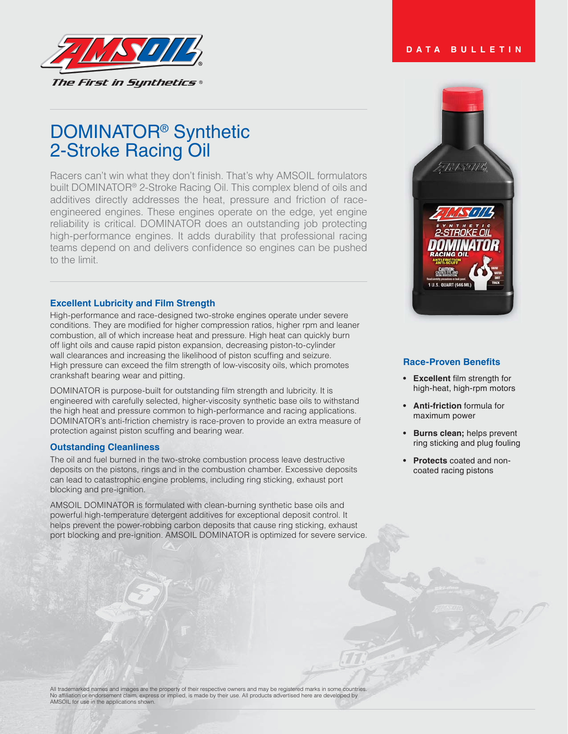

# DOMINATOR® Synthetic 2-Stroke Racing Oil

Racers can't win what they don't finish. That's why AMSOIL formulators built DOMINATOR<sup>®</sup> 2-Stroke Racing Oil. This complex blend of oils and additives directly addresses the heat, pressure and friction of raceengineered engines. These engines operate on the edge, yet engine reliability is critical. DOMINATOR does an outstanding job protecting high-performance engines. It adds durability that professional racing teams depend on and delivers confidence so engines can be pushed to the limit.

# **Excellent Lubricity and Film Strength**

High-performance and race-designed two-stroke engines operate under severe conditions. They are modified for higher compression ratios, higher rpm and leaner combustion, all of which increase heat and pressure. High heat can quickly burn off light oils and cause rapid piston expansion, decreasing piston-to-cylinder wall clearances and increasing the likelihood of piston scuffing and seizure. High pressure can exceed the film strength of low-viscosity oils, which promotes crankshaft bearing wear and pitting.

DOMINATOR is purpose-built for outstanding film strength and lubricity. It is engineered with carefully selected, higher-viscosity synthetic base oils to withstand the high heat and pressure common to high-performance and racing applications. DOMINATOR's anti-friction chemistry is race-proven to provide an extra measure of protection against piston scuffing and bearing wear.

# **Outstanding Cleanliness**

The oil and fuel burned in the two-stroke combustion process leave destructive deposits on the pistons, rings and in the combustion chamber. Excessive deposits can lead to catastrophic engine problems, including ring sticking, exhaust port blocking and pre-ignition.

AMSOIL DOMINATOR is formulated with clean-burning synthetic base oils and powerful high-temperature detergent additives for exceptional deposit control. It helps prevent the power-robbing carbon deposits that cause ring sticking, exhaust port blocking and pre-ignition. AMSOIL DOMINATOR is optimized for severe service.

**DATA BULLETIN**



# **Race-Proven Benefits**

- **Excellent film strength for** high-heat, high-rpm motors
- **Anti-friction** formula for maximum power
- Burns clean; helps prevent ring sticking and plug fouling
- Protects coated and noncoated racing pistons

All trademarked names and images are the property of their respective owners and may be registered marks in some countries. No affiliation or endorsement claim, express or implied, is made by their use. All products advertised here are developed by<br>AMSOIL for use in the applications shown.